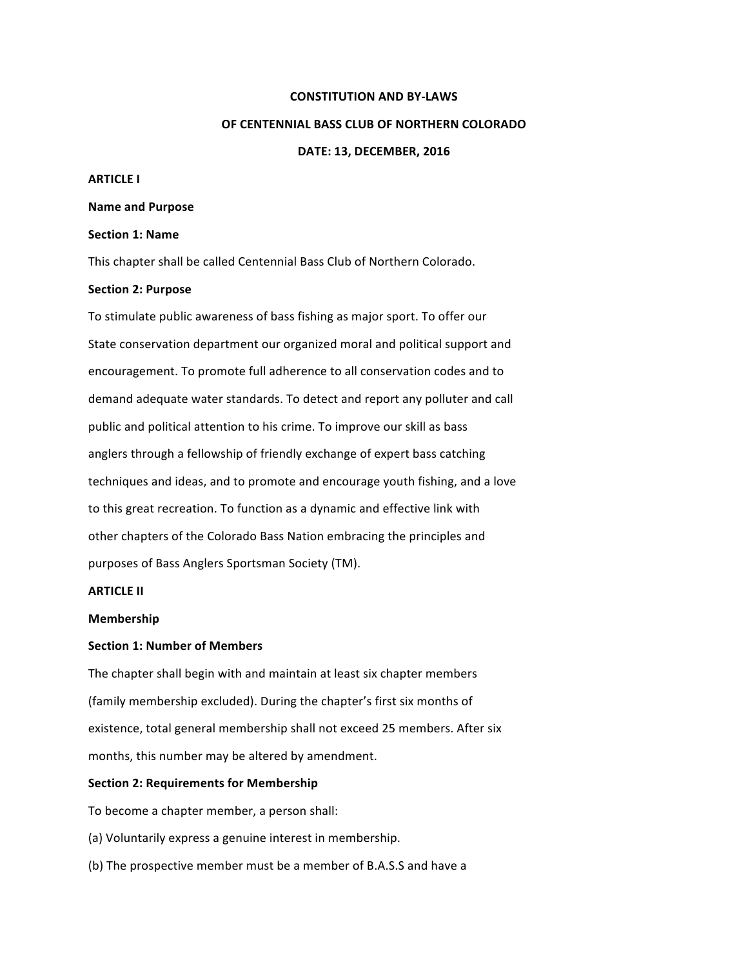### **CONSTITUTION AND BY-LAWS**

### **OF CENTENNIAL BASS CLUB OF NORTHERN COLORADO**

#### **DATE: 13, DECEMBER, 2016**

### **ARTICLE I**

#### **Name and Purpose**

## **Section 1: Name**

This chapter shall be called Centennial Bass Club of Northern Colorado.

### **Section 2: Purpose**

To stimulate public awareness of bass fishing as major sport. To offer our State conservation department our organized moral and political support and encouragement. To promote full adherence to all conservation codes and to demand adequate water standards. To detect and report any polluter and call public and political attention to his crime. To improve our skill as bass anglers through a fellowship of friendly exchange of expert bass catching techniques and ideas, and to promote and encourage youth fishing, and a love to this great recreation. To function as a dynamic and effective link with other chapters of the Colorado Bass Nation embracing the principles and purposes of Bass Anglers Sportsman Society (TM).

# **ARTICLE II**

### **Membership**

## **Section 1: Number of Members**

The chapter shall begin with and maintain at least six chapter members (family membership excluded). During the chapter's first six months of existence, total general membership shall not exceed 25 members. After six months, this number may be altered by amendment.

#### **Section 2: Requirements for Membership**

To become a chapter member, a person shall:

(a) Voluntarily express a genuine interest in membership.

(b) The prospective member must be a member of B.A.S.S and have a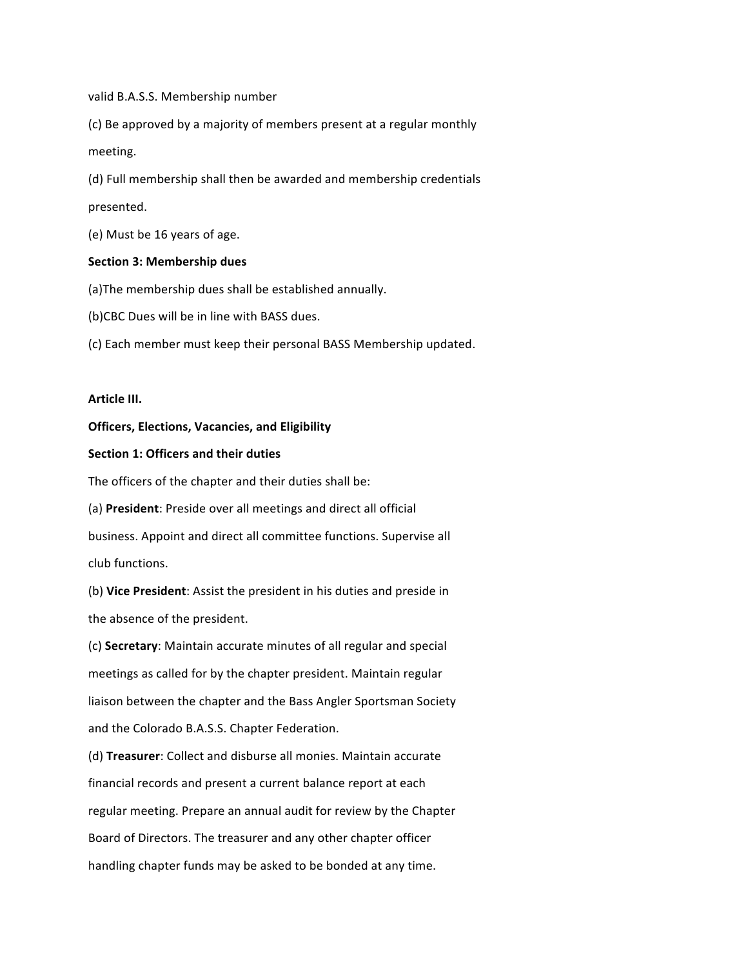valid B.A.S.S. Membership number

(c) Be approved by a majority of members present at a regular monthly meeting. 

(d) Full membership shall then be awarded and membership credentials presented. 

(e) Must be 16 years of age.

### **Section 3: Membership dues**

(a) The membership dues shall be established annually.

(b)CBC Dues will be in line with BASS dues.

(c) Each member must keep their personal BASS Membership updated.

# **Article III.**

## **Officers, Elections, Vacancies, and Eligibility**

### **Section 1: Officers and their duties**

The officers of the chapter and their duties shall be:

(a) President: Preside over all meetings and direct all official

business. Appoint and direct all committee functions. Supervise all club functions.

(b) Vice President: Assist the president in his duties and preside in the absence of the president.

(c) **Secretary**: Maintain accurate minutes of all regular and special meetings as called for by the chapter president. Maintain regular liaison between the chapter and the Bass Angler Sportsman Society and the Colorado B.A.S.S. Chapter Federation.

(d) Treasurer: Collect and disburse all monies. Maintain accurate financial records and present a current balance report at each regular meeting. Prepare an annual audit for review by the Chapter Board of Directors. The treasurer and any other chapter officer handling chapter funds may be asked to be bonded at any time.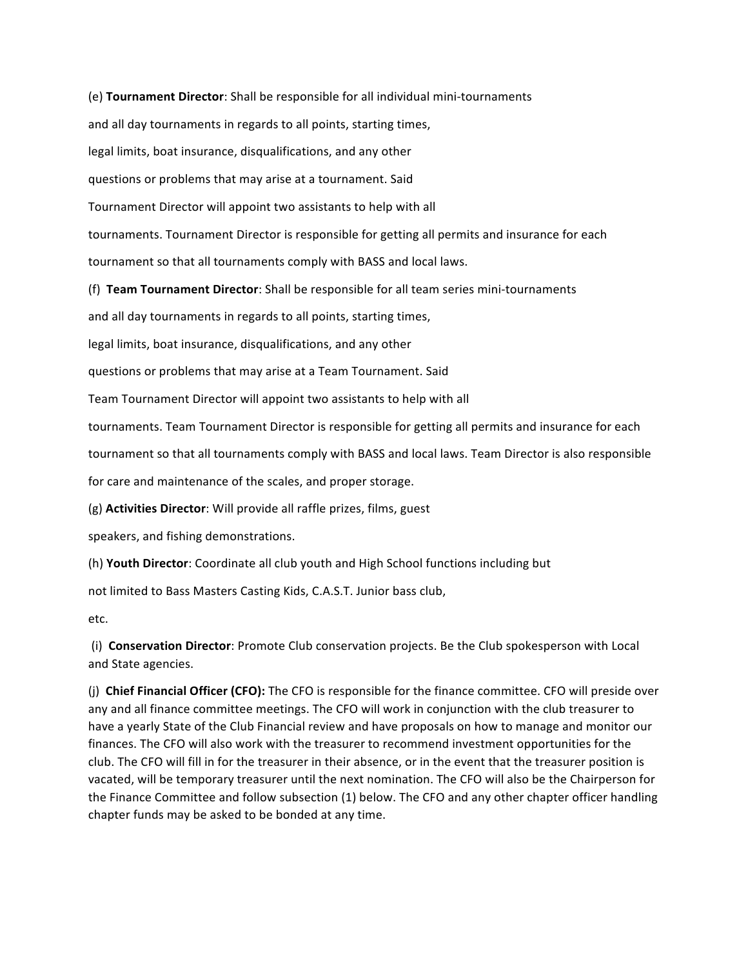(e) **Tournament Director**: Shall be responsible for all individual mini-tournaments 

and all day tournaments in regards to all points, starting times,

legal limits, boat insurance, disqualifications, and any other

questions or problems that may arise at a tournament. Said

Tournament Director will appoint two assistants to help with all

tournaments. Tournament Director is responsible for getting all permits and insurance for each

tournament so that all tournaments comply with BASS and local laws.

(f) **Team Tournament Director**: Shall be responsible for all team series mini-tournaments

and all day tournaments in regards to all points, starting times,

legal limits, boat insurance, disqualifications, and any other

questions or problems that may arise at a Team Tournament. Said

Team Tournament Director will appoint two assistants to help with all

tournaments. Team Tournament Director is responsible for getting all permits and insurance for each

tournament so that all tournaments comply with BASS and local laws. Team Director is also responsible

for care and maintenance of the scales, and proper storage.

(g) **Activities Director**: Will provide all raffle prizes, films, guest

speakers, and fishing demonstrations.

(h) **Youth Director**: Coordinate all club youth and High School functions including but

not limited to Bass Masters Casting Kids, C.A.S.T. Junior bass club,

etc. 

(i) **Conservation Director**: Promote Club conservation projects. Be the Club spokesperson with Local and State agencies.

(j) **Chief Financial Officer (CFO):** The CFO is responsible for the finance committee. CFO will preside over any and all finance committee meetings. The CFO will work in conjunction with the club treasurer to have a yearly State of the Club Financial review and have proposals on how to manage and monitor our finances. The CFO will also work with the treasurer to recommend investment opportunities for the club. The CFO will fill in for the treasurer in their absence, or in the event that the treasurer position is vacated, will be temporary treasurer until the next nomination. The CFO will also be the Chairperson for the Finance Committee and follow subsection (1) below. The CFO and any other chapter officer handling chapter funds may be asked to be bonded at any time.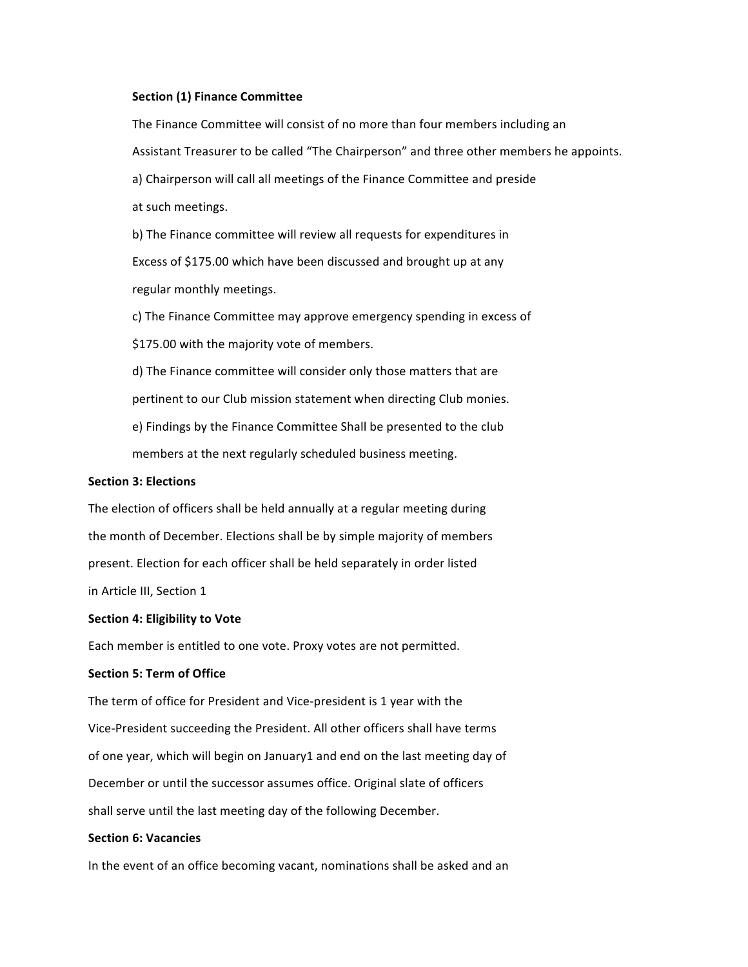### **Section (1) Finance Committee**

The Finance Committee will consist of no more than four members including an Assistant Treasurer to be called "The Chairperson" and three other members he appoints. a) Chairperson will call all meetings of the Finance Committee and preside at such meetings.

b) The Finance committee will review all requests for expenditures in Excess of \$175.00 which have been discussed and brought up at any regular monthly meetings.

c) The Finance Committee may approve emergency spending in excess of

\$175.00 with the majority vote of members.

d) The Finance committee will consider only those matters that are pertinent to our Club mission statement when directing Club monies.

e) Findings by the Finance Committee Shall be presented to the club

members at the next regularly scheduled business meeting.

## **Section 3: Elections**

The election of officers shall be held annually at a regular meeting during the month of December. Elections shall be by simple majority of members present. Election for each officer shall be held separately in order listed in Article III, Section 1

#### **Section 4: Eligibility to Vote**

Each member is entitled to one vote. Proxy votes are not permitted.

## **Section 5: Term of Office**

The term of office for President and Vice-president is 1 year with the Vice-President succeeding the President. All other officers shall have terms of one year, which will begin on January1 and end on the last meeting day of December or until the successor assumes office. Original slate of officers shall serve until the last meeting day of the following December.

### **Section 6: Vacancies**

In the event of an office becoming vacant, nominations shall be asked and an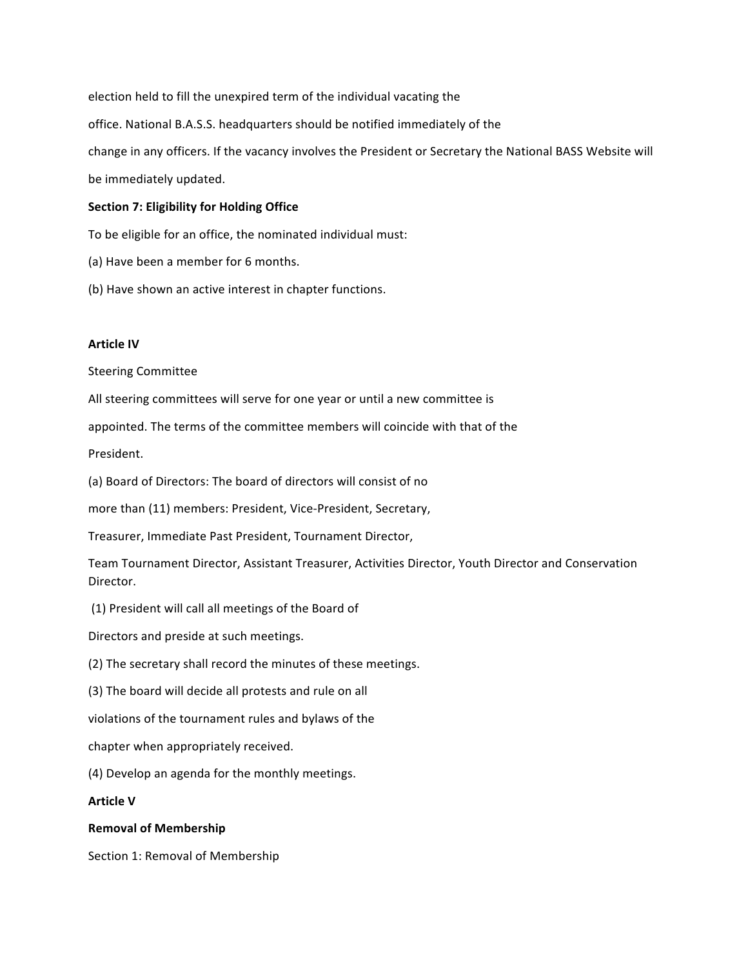election held to fill the unexpired term of the individual vacating the office. National B.A.S.S. headquarters should be notified immediately of the change in any officers. If the vacancy involves the President or Secretary the National BASS Website will be immediately updated.

## **Section 7: Eligibility for Holding Office**

To be eligible for an office, the nominated individual must:

- (a) Have been a member for 6 months.
- (b) Have shown an active interest in chapter functions.

## **Article IV**

Steering Committee 

All steering committees will serve for one year or until a new committee is

appointed. The terms of the committee members will coincide with that of the

President. 

(a) Board of Directors: The board of directors will consist of no

more than (11) members: President, Vice-President, Secretary,

Treasurer, Immediate Past President, Tournament Director,

Team Tournament Director, Assistant Treasurer, Activities Director, Youth Director and Conservation Director. 

(1) President will call all meetings of the Board of

Directors and preside at such meetings.

(2) The secretary shall record the minutes of these meetings.

(3) The board will decide all protests and rule on all

violations of the tournament rules and bylaws of the

chapter when appropriately received.

(4) Develop an agenda for the monthly meetings.

## **Article V**

### **Removal of Membership**

Section 1: Removal of Membership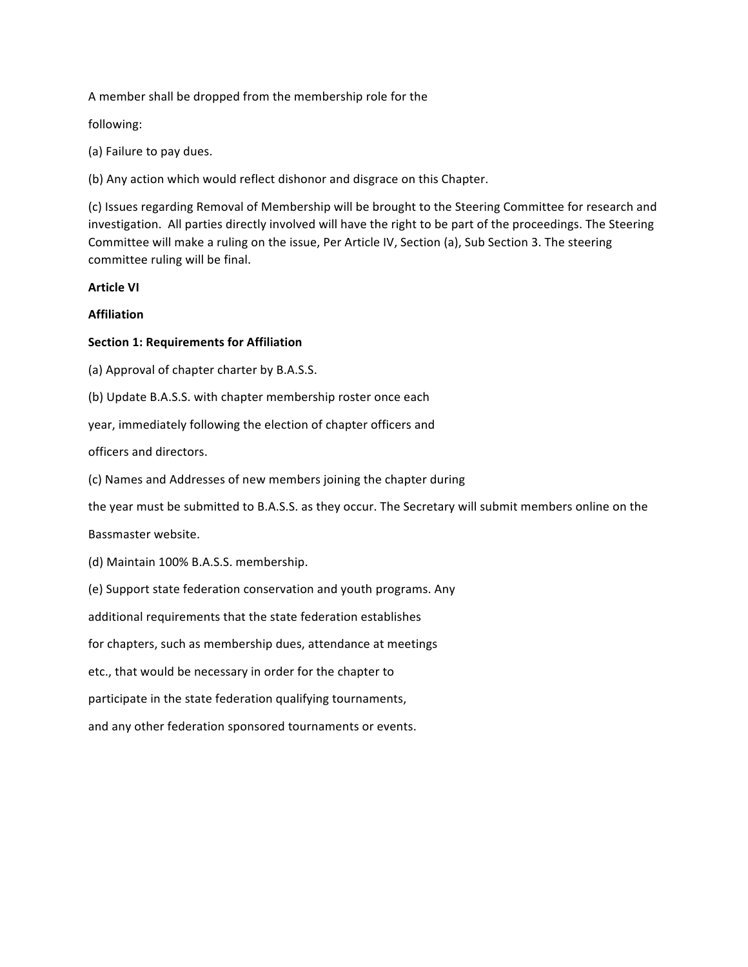A member shall be dropped from the membership role for the

following: 

(a) Failure to pay dues.

(b) Any action which would reflect dishonor and disgrace on this Chapter.

(c) Issues regarding Removal of Membership will be brought to the Steering Committee for research and investigation. All parties directly involved will have the right to be part of the proceedings. The Steering Committee will make a ruling on the issue, Per Article IV, Section (a), Sub Section 3. The steering committee ruling will be final.

## **Article VI**

# **Affiliation**

# **Section 1: Requirements for Affiliation**

(a) Approval of chapter charter by B.A.S.S.

(b) Update B.A.S.S. with chapter membership roster once each

year, immediately following the election of chapter officers and

officers and directors. 

(c) Names and Addresses of new members joining the chapter during

the year must be submitted to B.A.S.S. as they occur. The Secretary will submit members online on the

Bassmaster website.

(d) Maintain 100% B.A.S.S. membership.

(e) Support state federation conservation and youth programs. Any

additional requirements that the state federation establishes

for chapters, such as membership dues, attendance at meetings

etc., that would be necessary in order for the chapter to

participate in the state federation qualifying tournaments,

and any other federation sponsored tournaments or events.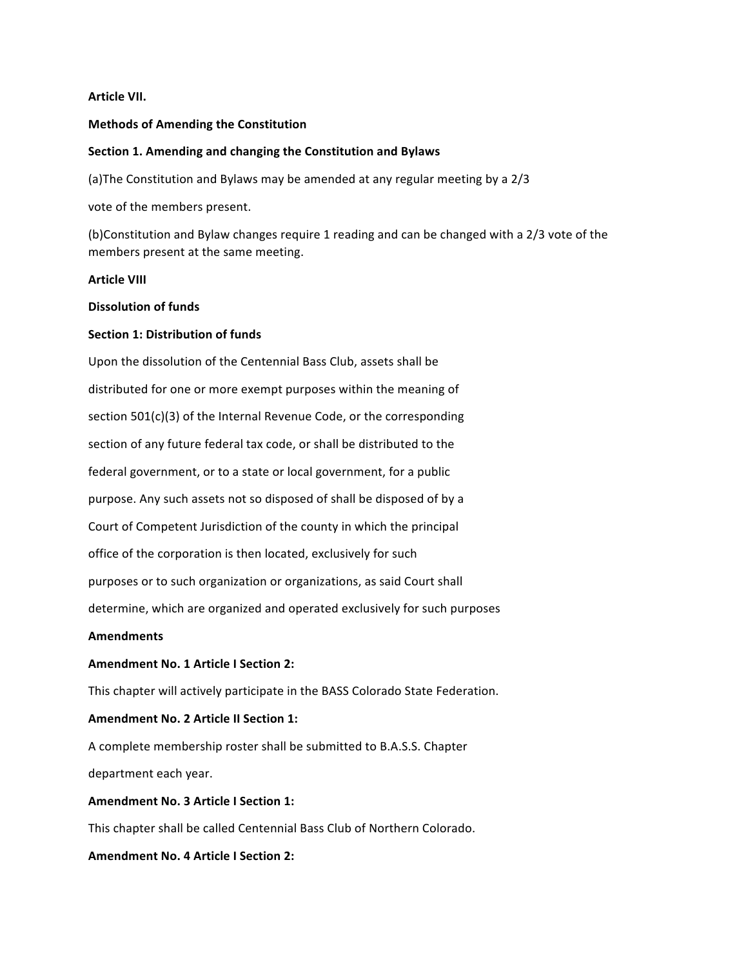## **Article VII.**

### **Methods of Amending the Constitution**

### **Section 1. Amending and changing the Constitution and Bylaws**

(a) The Constitution and Bylaws may be amended at any regular meeting by a  $2/3$ 

vote of the members present.

(b)Constitution and Bylaw changes require 1 reading and can be changed with a 2/3 vote of the members present at the same meeting.

### **Article VIII**

### **Dissolution of funds**

## **Section 1: Distribution of funds**

Upon the dissolution of the Centennial Bass Club, assets shall be distributed for one or more exempt purposes within the meaning of section  $501(c)(3)$  of the Internal Revenue Code, or the corresponding section of any future federal tax code, or shall be distributed to the federal government, or to a state or local government, for a public purpose. Any such assets not so disposed of shall be disposed of by a Court of Competent Jurisdiction of the county in which the principal office of the corporation is then located, exclusively for such purposes or to such organization or organizations, as said Court shall determine, which are organized and operated exclusively for such purposes

### **Amendments**

## **Amendment No. 1 Article I Section 2:**

This chapter will actively participate in the BASS Colorado State Federation.

# **Amendment No. 2 Article II Section 1:**

A complete membership roster shall be submitted to B.A.S.S. Chapter department each year.

# **Amendment No. 3 Article I Section 1:**

This chapter shall be called Centennial Bass Club of Northern Colorado.

## **Amendment No. 4 Article I Section 2:**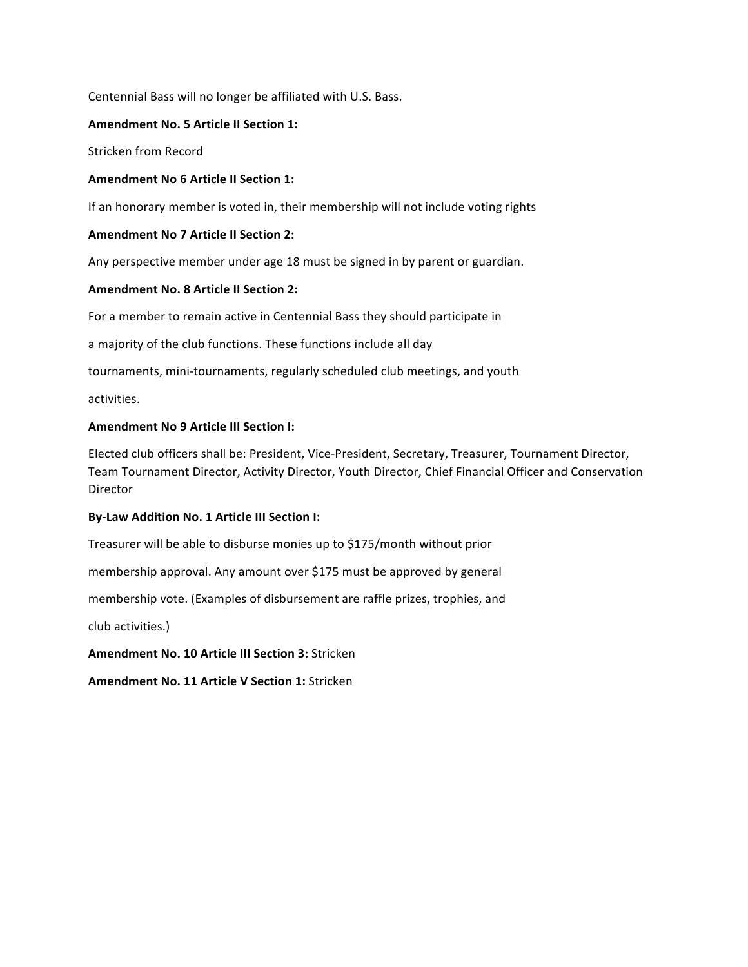Centennial Bass will no longer be affiliated with U.S. Bass.

# **Amendment No. 5 Article II Section 1:**

Stricken from Record 

# **Amendment No 6 Article II Section 1:**

If an honorary member is voted in, their membership will not include voting rights

# **Amendment No 7 Article II Section 2:**

Any perspective member under age 18 must be signed in by parent or guardian.

# **Amendment No. 8 Article II Section 2:**

For a member to remain active in Centennial Bass they should participate in

a majority of the club functions. These functions include all day

tournaments, mini-tournaments, regularly scheduled club meetings, and youth

activities. 

# **Amendment No 9 Article III Section I:**

Elected club officers shall be: President, Vice-President, Secretary, Treasurer, Tournament Director, Team Tournament Director, Activity Director, Youth Director, Chief Financial Officer and Conservation Director 

# **By-Law Addition No. 1 Article III Section I:**

Treasurer will be able to disburse monies up to \$175/month without prior

membership approval. Any amount over \$175 must be approved by general

membership vote. (Examples of disbursement are raffle prizes, trophies, and

club activities.)

**Amendment No. 10 Article III Section 3: Stricken** 

**Amendment No. 11 Article V Section 1: Stricken**